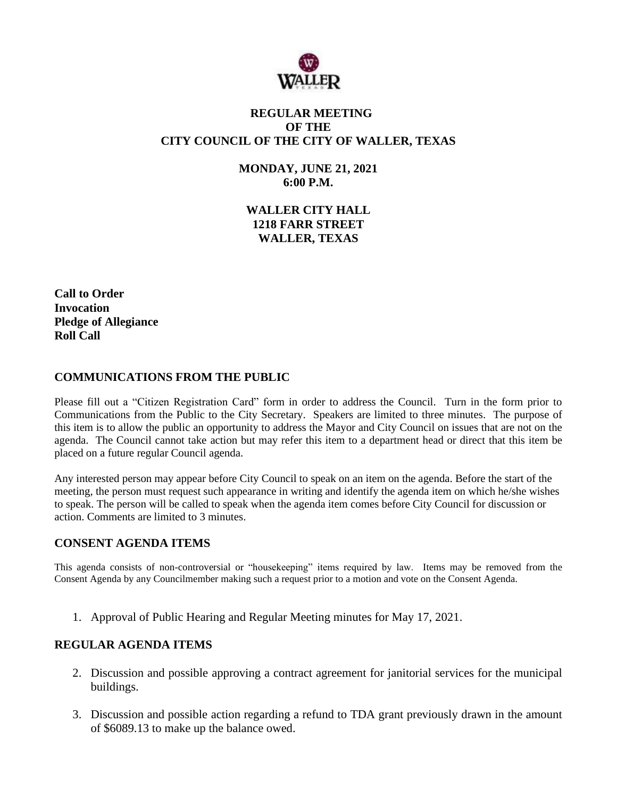

# **REGULAR MEETING OF THE CITY COUNCIL OF THE CITY OF WALLER, TEXAS**

**MONDAY, JUNE 21, 2021 6:00 P.M.**

**WALLER CITY HALL 1218 FARR STREET WALLER, TEXAS**

**Call to Order Invocation Pledge of Allegiance Roll Call**

## **COMMUNICATIONS FROM THE PUBLIC**

Please fill out a "Citizen Registration Card" form in order to address the Council. Turn in the form prior to Communications from the Public to the City Secretary. Speakers are limited to three minutes. The purpose of this item is to allow the public an opportunity to address the Mayor and City Council on issues that are not on the agenda. The Council cannot take action but may refer this item to a department head or direct that this item be placed on a future regular Council agenda.

Any interested person may appear before City Council to speak on an item on the agenda. Before the start of the meeting, the person must request such appearance in writing and identify the agenda item on which he/she wishes to speak. The person will be called to speak when the agenda item comes before City Council for discussion or action. Comments are limited to 3 minutes.

### **CONSENT AGENDA ITEMS**

This agenda consists of non-controversial or "housekeeping" items required by law. Items may be removed from the Consent Agenda by any Councilmember making such a request prior to a motion and vote on the Consent Agenda.

1. Approval of Public Hearing and Regular Meeting minutes for May 17, 2021.

### **REGULAR AGENDA ITEMS**

- 2. Discussion and possible approving a contract agreement for janitorial services for the municipal buildings.
- 3. Discussion and possible action regarding a refund to TDA grant previously drawn in the amount of \$6089.13 to make up the balance owed.